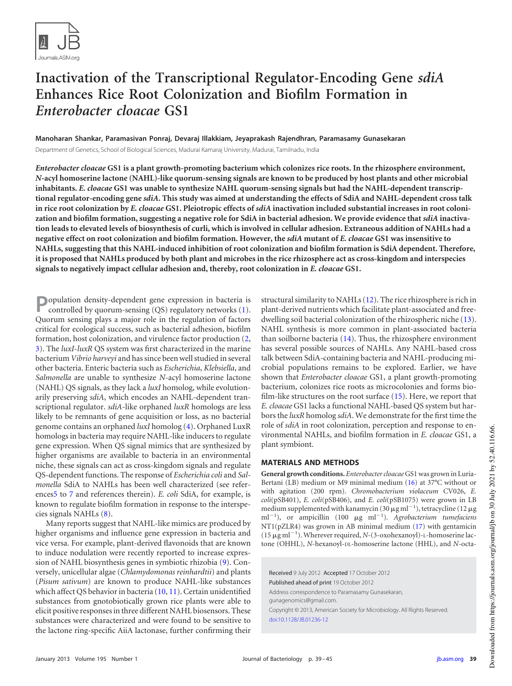

# **Inactivation of the Transcriptional Regulator-Encoding Gene** *sdiA* **Enhances Rice Root Colonization and Biofilm Formation in** *Enterobacter cloacae* **GS1**

**Manoharan Shankar, Paramasivan Ponraj, Devaraj Illakkiam, Jeyaprakash Rajendhran, Paramasamy Gunasekaran** Department of Genetics, School of Biological Sciences, Madurai Kamaraj University, Madurai, Tamilnadu, India

*Enterobacter cloacae* **GS1 is a plant growth-promoting bacterium which colonizes rice roots. In the rhizosphere environment,** *N***-acyl homoserine lactone (NAHL)-like quorum-sensing signals are known to be produced by host plants and other microbial inhabitants.** *E. cloacae* **GS1 was unable to synthesize NAHL quorum-sensing signals but had the NAHL-dependent transcriptional regulator-encoding gene** *sdiA***. This study was aimed at understanding the effects of SdiA and NAHL-dependent cross talk in rice root colonization by** *E. cloacae* **GS1. Pleiotropic effects of** *sdiA* **inactivation included substantial increases in root colonization and biofilm formation, suggesting a negative role for SdiA in bacterial adhesion. We provide evidence that** *sdiA* **inactivation leads to elevated levels of biosynthesis of curli, which is involved in cellular adhesion. Extraneous addition of NAHLs had a negative effect on root colonization and biofilm formation. However, the** *sdiA* **mutant of** *E. cloacae* **GS1 was insensitive to NAHLs, suggesting that this NAHL-induced inhibition of root colonization and biofilm formation is SdiA dependent. Therefore, it is proposed that NAHLs produced by both plant and microbes in the rice rhizosphere act as cross-kingdom and interspecies signals to negatively impact cellular adhesion and, thereby, root colonization in** *E. cloacae* **GS1.**

**P** opulation density-dependent gene expression in bacteria is controlled by quorum-sensing (QS) regulatory networks (1). controlled by quorum-sensing (QS) regulatory networks [\(1\)](#page-5-0). Quorum sensing plays a major role in the regulation of factors critical for ecological success, such as bacterial adhesion, biofilm formation, host colonization, and virulence factor production [\(2,](#page-5-1) [3\)](#page-5-2). The *luxI*-*luxR* QS system was first characterized in the marine bacterium *Vibrio harveyi* and has since been well studied in several other bacteria. Enteric bacteria such as *Escherichia*, *Klebsiella*, and *Salmonella* are unable to synthesize *N*-acyl homoserine lactone (NAHL) QS signals, as they lack a *luxI* homolog, while evolutionarily preserving *sdiA*, which encodes an NAHL-dependent transcriptional regulator. *sdiA*-like orphaned *luxR* homologs are less likely to be remnants of gene acquisition or loss, as no bacterial genome contains an orphaned *luxI* homolog [\(4\)](#page-5-3). Orphaned LuxR homologs in bacteria may require NAHL-like inducers to regulate gene expression. When QS signal mimics that are synthesized by higher organisms are available to bacteria in an environmental niche, these signals can act as cross-kingdom signals and regulate QS-dependent functions. The response of *Escherichia coli* and *Salmonella* SdiA to NAHLs has been well characterized (see reference[s5](#page-5-4) to [7](#page-5-5) and references therein). *E. coli* SdiA, for example, is known to regulate biofilm formation in response to the interspecies signals NAHLs [\(8\)](#page-5-6).

Many reports suggest that NAHL-like mimics are produced by higher organisms and influence gene expression in bacteria and vice versa. For example, plant-derived flavonoids that are known to induce nodulation were recently reported to increase expression of NAHL biosynthesis genes in symbiotic rhizobia [\(9\)](#page-5-7). Conversely, unicellular algae (*Chlamydomonas reinhardtii*) and plants (*Pisum sativum*) are known to produce NAHL-like substances which affect QS behavior in bacteria [\(10,](#page-5-8) [11\)](#page-5-9). Certain unidentified substances from gnotobiotically grown rice plants were able to elicit positive responses in three different NAHL biosensors. These substances were characterized and were found to be sensitive to the lactone ring-specific AiiA lactonase, further confirming their structural similarity to NAHLs [\(12\)](#page-5-10). The rice rhizosphere is rich in plant-derived nutrients which facilitate plant-associated and freedwelling soil bacterial colonization of the rhizospheric niche [\(13\)](#page-6-0). NAHL synthesis is more common in plant-associated bacteria than soilborne bacteria [\(14\)](#page-6-1). Thus, the rhizosphere environment has several possible sources of NAHLs. Any NAHL-based cross talk between SdiA-containing bacteria and NAHL-producing microbial populations remains to be explored. Earlier, we have shown that *Enterobacter cloacae* GS1, a plant growth-promoting bacterium, colonizes rice roots as microcolonies and forms biofilm-like structures on the root surface [\(15\)](#page-6-2). Here, we report that *E. cloacae* GS1 lacks a functional NAHL-based QS system but harbors the *luxR* homolog *sdiA*. We demonstrate for the first time the role of *sdiA* in root colonization, perception and response to environmental NAHLs, and biofilm formation in *E. cloacae* GS1, a plant symbiont.

## **MATERIALS AND METHODS**

**General growth conditions.** *Enterobacter cloacae* GS1 was grown in Luria-Bertani (LB) medium or M9 minimal medium [\(16\)](#page-6-3) at 37°C without or with agitation (200 rpm). *Chromobacterium violaceum* CV026, *E. coli*(pSB401), *E. coli*(pSB406), and *E. coli*(pSB1075) were grown in LB medium supplemented with kanamycin (30  $\mu$ g ml<sup>-1</sup>), tetracycline (12  $\mu$ g ml<sup>-1</sup>), or ampicillin (100 µg ml<sup>-1</sup>). *Agrobacterium tumefaciens* NT1(pZLR4) was grown in AB minimal medium [\(17\)](#page-6-4) with gentamicin  $(15 \mu g \text{ ml}^{-1})$ . Wherever required, *N*-(3-oxohexanoyl)-L-homoserine lactone (OHHL), *N*-hexanoyl-DL-homoserine lactone (HHL), and *N*-octa-

Received 9 July 2012 Accepted 17 October 2012 Published ahead of print 19 October 2012 Address correspondence to Paramasamy Gunasekaran, gunagenomics@gmail.com. Copyright © 2013, American Society for Microbiology. All Rights Reserved. doi:10.1128/JB.01236-12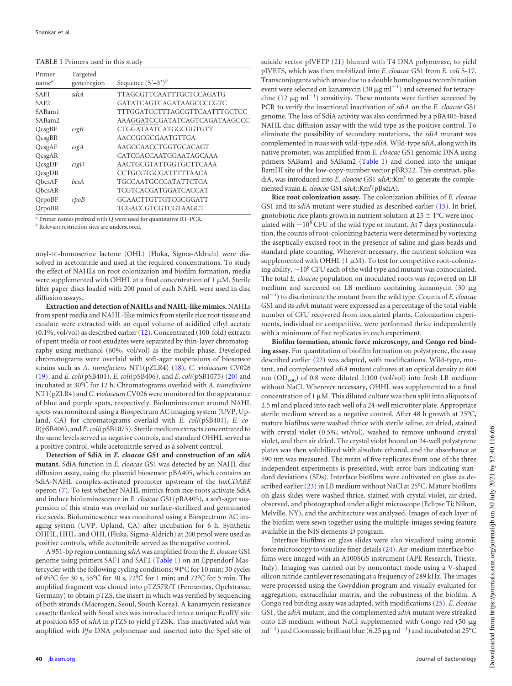<span id="page-1-0"></span>

| TABLE 1 Primers used in this study |  |  |  |  |
|------------------------------------|--|--|--|--|
|------------------------------------|--|--|--|--|

| Primer<br>name <sup>a</sup> | Targeted<br>gene/region | Sequence $(5'-3')^b$          |
|-----------------------------|-------------------------|-------------------------------|
| SAF1                        | sdiA                    | TTAGCGTTCAATTTGCTCCAGATG      |
| SAF <sub>2</sub>            |                         | GATATCAGTCAGATAAGCCCCGTC      |
| SABam1                      |                         | TTTGGATCCTTTAGCGTTCAATTTGCTCC |
| SABam2                      |                         | AAAGGATCCGATATCAGTCAGATAAGCCC |
| QcsgBF                      | csgB                    | CTGGATAATCATGGCGGTGTT         |
| QcsgBR                      |                         | AACCGCGCGAATGTTGA             |
| QcsgAF                      | csgA                    | AAGCCAACCTGGTGCACAGT          |
| QcsgAR                      |                         | CATCGACCAATGGAATAGCAAA        |
| QcsgDF                      | csgD                    | AACTGCGTATTGGTGCTTCAAA        |
| QcsgDR                      |                         | CCTGCGTGCGATTTTTAACA          |
| ObcsAF                      | hcsA                    | <b>TGCCAATGCCCATATTCTGA</b>   |
| ObcsAR                      |                         | TCGTCACGATGGATCACCAT          |
| QrpoBF                      | rpoB                    | GCAACTTGTTGTCGCGGATT          |
| QrpoBR                      |                         | TCGACCGTCGTCGTAAGCT           |

*a* Primer names prefixed with Q were used for quantitative RT-PCR.

*<sup>b</sup>* Relevant restriction sites are underscored.

noyl-DL-homoserine lactone (OHL) (Fluka, Sigma-Aldrich) were dissolved in acetonitrile and used at the required concentrations. To study the effect of NAHLs on root colonization and biofilm formation, media were supplemented with OHHL at a final concentration of  $1 \mu M$ . Sterile filter paper discs loaded with 200 pmol of each NAHL were used in disc diffusion assays.

**Extraction and detection of NAHLs and NAHL-like mimics.** NAHLs from spent media and NAHL-like mimics from sterile rice root tissue and exudate were extracted with an equal volume of acidified ethyl acetate (0.1%, vol/vol) as described earlier [\(12\)](#page-5-10). Concentrated (100-fold) extracts of spent media or root exudates were separated by thin-layer chromatography using methanol (60%, vol/vol) as the mobile phase. Developed chromatograms were overlaid with soft-agar suspensions of biosensor strains such as *A. tumefaciens* NT1(pZLR4) [\(18\)](#page-6-5), *C. violaceum* CV026 [\(19\)](#page-6-6), and *E. coli*(pSB401), *E. coli*(pSB406), and *E. coli*(pSB1075) [\(20\)](#page-6-7) and incubated at 30°C for 12 h. Chromatograms overlaid with *A. tumefaciens* NT1(pZLR4) and*C. violaceum*CV026 were monitored for the appearance of blue and purple spots, respectively. Bioluminescence around NAHL spots was monitored using a Biospectrum AC imaging system (UVP, Upland, CA) for chromatograms overlaid with *E. coli*(pSB401), *E. coli*(pSB406), and *E. coli*(pSB1075). Sterile medium extracts concentrated to the same levels served as negative controls, and standard OHHL served as a positive control, while acetonitrile served as a solvent control.

**Detection of SdiA in** *E. cloacae* **GS1 and construction of an** *sdiA* **mutant.** SdiA function in *E. cloacae* GS1 was detected by an NAHL disc diffusion assay, using the plasmid biosensor pBA405, which contains an SdiA-NAHL complex-activated promoter upstream of the *luxCDABE* operon [\(7\)](#page-5-5). To test whether NAHL mimics from rice roots activate SdiA and induce bioluminescence in *E. cloacae* GS1(pBA405), a soft-agar suspension of this strain was overlaid on surface-sterilized and germinated rice seeds. Bioluminescence was monitored using a Biospectrum AC imaging system (UVP, Upland, CA) after incubation for 6 h. Synthetic OHHL, HHL, and OHL (Fluka, Sigma-Aldrich) at 200 pmol were used as positive controls, while acetonitrile served as the negative control.

A 951-bp region containing *sdiA*was amplified from the *E. cloacae* GS1 genome using primers SAF1 and SAF2 [\(Table 1\)](#page-1-0) on an Eppendorf Mastercycler with the following cycling conditions: 94°C for 10 min; 30 cycles of 95°C for 30 s, 55°C for 30 s, 72°C for 1 min; and 72°C for 5 min. The amplified fragment was cloned into pTZ57R/T (Fermentas, Opelstrasse, Germany) to obtain pTZS, the insert in which was verified by sequencing of both strands (Macrogen, Seoul, South Korea). A kanamycin resistance cassette flanked with SmaI sites was introduced into a unique EcoRV site at position 655 of *sdiA* in pTZS to yield pTZSK. This inactivated *sdiA* was amplified with *Pfu* DNA polymerase and inserted into the SpeI site of suicide vector pIVETP [\(21\)](#page-6-8) blunted with T4 DNA polymerase, to yield pIVETS, which was then mobilized into *E. cloacae* GS1 from *E. coli* S-17. Transconjugants which arose due to a double homologous recombination event were selected on kanamycin (30  $\mu$ g ml<sup>-1</sup>) and screened for tetracycline (12  $\mu$ g ml<sup>-1</sup>) sensitivity. These mutants were further screened by PCR to verify the insertional inactivation of *sdiA* on the *E. cloacae* GS1 genome. The loss of SdiA activity was also confirmed by a pBA405-based NAHL disc diffusion assay with the wild type as the positive control. To eliminate the possibility of secondary mutations, the *sdiA* mutant was complemented in *trans*with wild-type *sdiA*. Wild-type *sdiA*, along with its native promoter, was amplified from *E. cloacae* GS1 genomic DNA using primers SABam1 and SABam2 [\(Table 1\)](#page-1-0) and cloned into the unique BamHI site of the low-copy-number vector pBR322. This construct, pBsdiA, was introduced into *E. cloacae* GS1 sdiA::Km<sup>r</sup> to generate the complemented strain *E. cloacae* GS1 sdiA::Km<sup>r</sup>(pBsdiA).

**Rice root colonization assay.** The colonization abilities of *E. cloacae* GS1 and its *sdiA* mutant were studied as described earlier [\(15\)](#page-6-2). In brief, gnotobiotic rice plants grown in nutrient solution at  $25 \pm 1$ °C were inoculated with  $\sim$  10<sup>8</sup> CFU of the wild type or mutant. At 7 days postinoculation, the counts of root-colonizing bacteria were determined by vortexing the aseptically excised root in the presence of saline and glass beads and standard plate counting. Wherever necessary, the nutrient solution was supplemented with OHHL  $(1 \mu M)$ . To test for competitive root-colonizing ability,  $\sim$  10<sup>8</sup> CFU each of the wild type and mutant was coinoculated. The total *E. cloacae* population on inoculated roots was recovered on LB medium and screened on LB medium containing kanamycin  $(30 \mu g)$ ml-1 ) to discriminate the mutant from the wild type. Counts of *E. cloacae* GS1 and its *sdiA* mutant were expressed as a percentage of the total viable number of CFU recovered from inoculated plants. Colonization experiments, individual or competitive, were performed thrice independently with a minimum of five replicates in each experiment.

**Biofilm formation, atomic force microscopy, and Congo red binding assay.** For quantitation of biofilm formation on polystyrene, the assay described earlier [\(22\)](#page-6-9) was adapted, with modifications. Wild-type, mutant, and complemented *sdiA* mutant cultures at an optical density at 600 nm (OD $_{600}$ ) of 0.8 were diluted 1:100 (vol/vol) into fresh LB medium without NaCl. Wherever necessary, OHHL was supplemented to a final concentration of 1  $\mu$ M. This diluted culture was then split into aliquots of 2.5 ml and placed into each well of a 24-well microtiter plate. Appropriate sterile medium served as a negative control. After 48 h growth at 25°C, mature biofilms were washed thrice with sterile saline, air dried, stained with crystal violet (0.5%, wt/vol), washed to remove unbound crystal violet, and then air dried. The crystal violet bound on 24-well polystyrene plates was then solubilized with absolute ethanol, and the absorbance at 590 nm was measured. The mean of five replicates from one of the three independent experiments is presented, with error bars indicating standard deviations (SDs). Interface biofilms were cultivated on glass as described earlier [\(23\)](#page-6-10) in LB medium without NaCl at 25°C. Mature biofilms on glass slides were washed thrice, stained with crystal violet, air dried, observed, and photographed under a light microscope (Eclipse Ti; Nikon, Melville, NY), and the architecture was analyzed. Images of each layer of the biofilm were sewn together using the multiple-images sewing feature available in the NIS elements-D program.

Interface biofilms on glass slides were also visualized using atomic force microscopy to visualize finer details [\(24\)](#page-6-11). Air-medium interface biofilms were imaged with an A100SGS instrument (APE Research, Trieste, Italy). Imaging was carried out by noncontact mode using a V-shaped silicon nitride cantilever resonating at a frequency of 289 kHz. The images were processed using the Gwyddion program and visually evaluated for aggregation, extracellular matrix, and the robustness of the biofilm. A Congo red binding assay was adapted, with modifications [\(25\)](#page-6-12). *E. cloacae* GS1, the *sdiA* mutant, and the complemented *sdiA* mutant were streaked onto LB medium without NaCl supplemented with Congo red (50  $\mu$ g  $\text{mI}^{-1}$ ) and Coomassie brilliant blue (6.25  $\mu \text{g mI}^{-1}$ ) and incubated at 25°C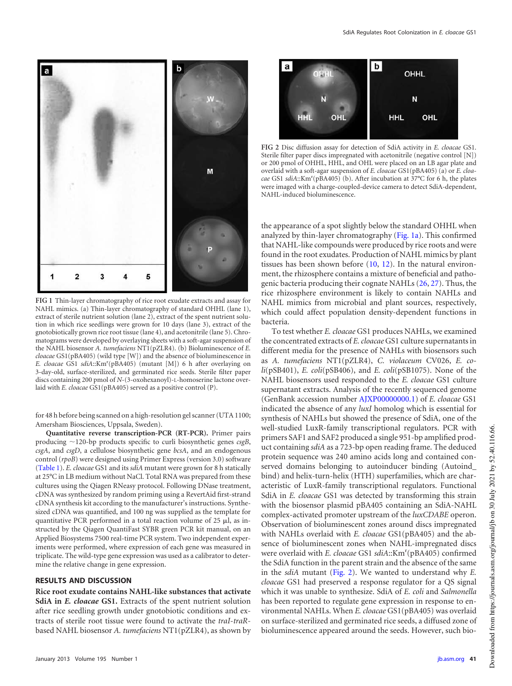

<span id="page-2-0"></span>**FIG 1** Thin-layer chromatography of rice root exudate extracts and assay for NAHL mimics. (a) Thin-layer chromatography of standard OHHL (lane 1), extract of sterile nutrient solution (lane 2), extract of the spent nutrient solution in which rice seedlings were grown for 10 days (lane 3), extract of the gnotobiotically grown rice root tissue (lane 4), and acetonitrile (lane 5). Chromatograms were developed by overlaying sheets with a soft-agar suspension of the NAHL biosensor *A. tumefaciens* NT1(pZLR4). (b) Bioluminescence of *E. cloacae* GS1(pBA405) (wild type [W]) and the absence of bioluminescence in E. cloacae GS1 sdiA::Km<sup>r</sup>(pBA405) (mutant [M]) 6 h after overlaying on 3-day-old, surface-sterilized, and germinated rice seeds. Sterile filter paper discs containing 200 pmol of *N*-(3-oxohexanoyl)-L-homoserine lactone overlaid with *E. cloacae* GS1(pBA405) served as a positive control (P).

for 48 h before being scanned on a high-resolution gel scanner (UTA 1100; Amersham Biosciences, Uppsala, Sweden).

**Quantitative reverse transcription-PCR (RT-PCR).** Primer pairs producing ~120-bp products specific to curli biosynthetic genes *csgB*, *csgA*, and *csgD*, a cellulose biosynthetic gene *bcsA*, and an endogenous control (*rpoB*) were designed using Primer Express (version 3.0) software [\(Table 1\)](#page-1-0). *E. cloacae* GS1 and its *sdiA* mutant were grown for 8 h statically at 25°C in LB medium without NaCl. Total RNA was prepared from these cultures using the Qiagen RNeasy protocol. Following DNase treatment, cDNA was synthesized by random priming using a RevertAid first-strand cDNA synthesis kit according to the manufacturer's instructions. Synthesized cDNA was quantified, and 100 ng was supplied as the template for quantitative PCR performed in a total reaction volume of  $25 \mu$ , as instructed by the Qiagen QuantiFast SYBR green PCR kit manual, on an Applied Biosystems 7500 real-time PCR system. Two independent experiments were performed, where expression of each gene was measured in triplicate. The wild-type gene expression was used as a calibrator to determine the relative change in gene expression.

### **RESULTS AND DISCUSSION**

**Rice root exudate contains NAHL-like substances that activate SdiA in** *E. cloacae* **GS1.** Extracts of the spent nutrient solution after rice seedling growth under gnotobiotic conditions and extracts of sterile root tissue were found to activate the *traI*-*traR*based NAHL biosensor *A. tumefaciens* NT1(pZLR4), as shown by



<span id="page-2-1"></span>**FIG 2** Disc diffusion assay for detection of SdiA activity in *E. cloacae* GS1. Sterile filter paper discs impregnated with acetonitrile (negative control [N]) or 200 pmol of OHHL, HHL, and OHL were placed on an LB agar plate and overlaid with a soft-agar suspension of *E. cloacae* GS1(pBA405) (a) or *E. cloacae* GS1 *sdiA*::Km<sup>r</sup> (pBA405) (b). After incubation at 37°C for 6 h, the plates were imaged with a charge-coupled-device camera to detect SdiA-dependent, NAHL-induced bioluminescence.

the appearance of a spot slightly below the standard OHHL when analyzed by thin-layer chromatography [\(Fig. 1a\)](#page-2-0). This confirmed that NAHL-like compounds were produced by rice roots and were found in the root exudates. Production of NAHL mimics by plant tissues has been shown before [\(10,](#page-5-8) [12\)](#page-5-10). In the natural environment, the rhizosphere contains a mixture of beneficial and pathogenic bacteria producing their cognate NAHLs [\(26,](#page-6-13) [27\)](#page-6-14). Thus, the rice rhizosphere environment is likely to contain NAHLs and NAHL mimics from microbial and plant sources, respectively, which could affect population density-dependent functions in bacteria.

To test whether *E. cloacae* GS1 produces NAHLs, we examined the concentrated extracts of *E. cloacae* GS1 culture supernatants in different media for the presence of NAHLs with biosensors such as *A. tumefaciens* NT1(pZLR4), *C. violaceum* CV026, *E. coli*(pSB401), *E. coli*(pSB406), and *E. coli*(pSB1075). None of the NAHL biosensors used responded to the *E. cloacae* GS1 culture supernatant extracts. Analysis of the recently sequenced genome (GenBank accession number AJXP00000000.1) of *E. cloacae* GS1 indicated the absence of any *luxI* homolog which is essential for synthesis of NAHLs but showed the presence of SdiA, one of the well-studied LuxR-family transcriptional regulators. PCR with primers SAF1 and SAF2 produced a single 951-bp amplified product containing *sdiA* as a 723-bp open reading frame. The deduced protein sequence was 240 amino acids long and contained conserved domains belonging to autoinducer binding (Autoind\_ bind) and helix-turn-helix (HTH) superfamilies, which are characteristic of LuxR-family transcriptional regulators. Functional SdiA in *E. cloacae* GS1 was detected by transforming this strain with the biosensor plasmid pBA405 containing an SdiA-NAHL complex-activated promoter upstream of the *luxCDABE* operon. Observation of bioluminescent zones around discs impregnated with NAHLs overlaid with *E. cloacae* GS1(pBA405) and the absence of bioluminescent zones when NAHL-impregnated discs were overlaid with *E. cloacae* GS1 *sdiA*::Km<sup>r</sup> (pBA405) confirmed the SdiA function in the parent strain and the absence of the same in the *sdiA* mutant [\(Fig. 2\)](#page-2-1). We wanted to understand why *E. cloacae* GS1 had preserved a response regulator for a QS signal which it was unable to synthesize. SdiA of *E. coli* and *Salmonella* has been reported to regulate gene expression in response to environmental NAHLs. When *E. cloacae* GS1(pBA405) was overlaid on surface-sterilized and germinated rice seeds, a diffused zone of bioluminescence appeared around the seeds. However, such bio-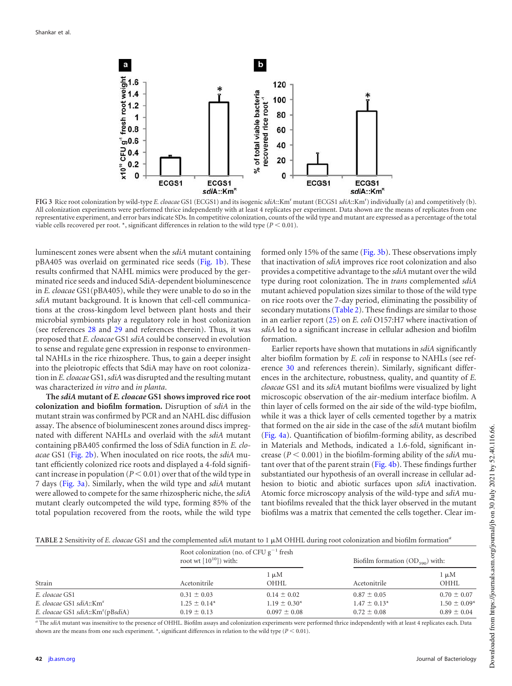

<span id="page-3-0"></span>**FIG 3** Rice root colonization by wild-type *E. cloacae* GS1 (ECGS1) and its isogenic *sdiA*::Km<sup>r</sup> mutant (ECGS1 *sdiA*::Km<sup>r</sup> ) individually (a) and competitively (b). All colonization experiments were performed thrice independently with at least 4 replicates per experiment. Data shown are the means of replicates from one representative experiment, and error bars indicate SDs. In competitive colonization, counts of the wild type and mutant are expressed as a percentage of the total viable cells recovered per root.  $*$ , significant differences in relation to the wild type ( $P \le 0.01$ ).

luminescent zones were absent when the *sdiA* mutant containing pBA405 was overlaid on germinated rice seeds [\(Fig. 1b\)](#page-2-0). These results confirmed that NAHL mimics were produced by the germinated rice seeds and induced SdiA-dependent bioluminescence in *E. cloacae* GS1(pBA405), while they were unable to do so in the *sdiA* mutant background. It is known that cell-cell communications at the cross-kingdom level between plant hosts and their microbial symbionts play a regulatory role in host colonization (see references [28](#page-6-15) and [29](#page-6-16) and references therein). Thus, it was proposed that *E. cloacae* GS1 *sdiA* could be conserved in evolution to sense and regulate gene expression in response to environmental NAHLs in the rice rhizosphere. Thus, to gain a deeper insight into the pleiotropic effects that SdiA may have on root colonization in *E. cloacae* GS1,*sdiA*was disrupted and the resulting mutant was characterized *in vitro* and *in planta*.

**The** *sdiA* **mutant of** *E. cloacae* **GS1 shows improved rice root colonization and biofilm formation.** Disruption of *sdiA* in the mutant strain was confirmed by PCR and an NAHL disc diffusion assay. The absence of bioluminescent zones around discs impregnated with different NAHLs and overlaid with the *sdiA* mutant containing pBA405 confirmed the loss of SdiA function in *E. cloacae* GS1 [\(Fig. 2b\)](#page-2-1). When inoculated on rice roots, the *sdiA* mutant efficiently colonized rice roots and displayed a 4-fold significant increase in population ( $P < 0.01$ ) over that of the wild type in 7 days [\(Fig. 3a\)](#page-3-0). Similarly, when the wild type and *sdiA* mutant were allowed to compete for the same rhizospheric niche, the *sdiA* mutant clearly outcompeted the wild type, forming 85% of the total population recovered from the roots, while the wild type

formed only 15% of the same [\(Fig. 3b\)](#page-3-0). These observations imply that inactivation of *sdiA* improves rice root colonization and also provides a competitive advantage to the *sdiA* mutant over the wild type during root colonization. The in *trans* complemented *sdiA* mutant achieved population sizes similar to those of the wild type on rice roots over the 7-day period, eliminating the possibility of secondary mutations [\(Table 2\)](#page-3-1). These findings are similar to those in an earlier report [\(25\)](#page-6-12) on *E. coli* O157:H7 where inactivation of *sdiA* led to a significant increase in cellular adhesion and biofilm formation.

Earlier reports have shown that mutations in *sdiA* significantly alter biofilm formation by *E. coli* in response to NAHLs (see reference [30](#page-6-17) and references therein). Similarly, significant differences in the architecture, robustness, quality, and quantity of *E. cloacae* GS1 and its *sdiA* mutant biofilms were visualized by light microscopic observation of the air-medium interface biofilm. A thin layer of cells formed on the air side of the wild-type biofilm, while it was a thick layer of cells cemented together by a matrix that formed on the air side in the case of the *sdiA* mutant biofilm [\(Fig. 4a\)](#page-4-0). Quantification of biofilm-forming ability, as described in Materials and Methods, indicated a 1.6-fold, significant increase  $(P < 0.001)$  in the biofilm-forming ability of the *sdiA* mutant over that of the parent strain [\(Fig. 4b\)](#page-4-0). These findings further substantiated our hypothesis of an overall increase in cellular adhesion to biotic and abiotic surfaces upon *sdiA* inactivation. Atomic force microscopy analysis of the wild-type and *sdiA* mutant biofilms revealed that the thick layer observed in the mutant biofilms was a matrix that cemented the cells together. Clear im-

<span id="page-3-1"></span>TABLE 2 Sensitivity of *E. cloacae* GS1 and the complemented *sdiA* mutant to 1  $\mu$ M OHHL during root colonization and biofilm formation<sup>a</sup>

| Strain                                        |                  | Root colonization (no. of CFU $g^{-1}$ fresh<br>root wt $[10^{10}]$ ) with: |                  | Biofilm formation $OD_{500}$ with: |  |
|-----------------------------------------------|------------------|-----------------------------------------------------------------------------|------------------|------------------------------------|--|
|                                               | Acetonitrile     | $1 \mu M$<br>OHHI.                                                          | Acetonitrile     | $1 \mu M$<br>OHHL                  |  |
| E. cloacae GS1                                | $0.31 \pm 0.03$  | $0.14 \pm 0.02$                                                             | $0.87 \pm 0.05$  | $0.70 \pm 0.07$                    |  |
| E. cloacae GS1 sdiA::Km <sup>r</sup>          | $1.25 \pm 0.14*$ | $1.19 \pm 0.30^*$                                                           | $1.47 \pm 0.13*$ | $1.50 \pm 0.09*$                   |  |
| E. cloacae GS1 sdiA::Km <sup>r</sup> (pBsdiA) | $0.19 \pm 0.13$  | $0.097 \pm 0.08$                                                            | $0.72 \pm 0.08$  | $0.89 \pm 0.04$                    |  |

*<sup>a</sup>* The *sdiA* mutant was insensitive to the presence of OHHL. Biofilm assays and colonization experiments were performed thrice independently with at least 4 replicates each. Data shown are the means from one such experiment.  $*$ , significant differences in relation to the wild type ( $P < 0.01$ ).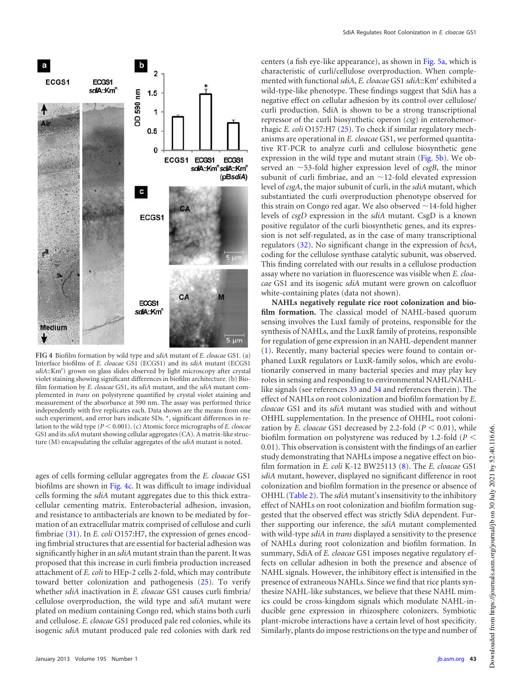

<span id="page-4-0"></span>**FIG 4** Biofilm formation by wild type and *sdiA* mutant of *E. cloacae* GS1. (a) Interface biofilms of *E. cloacae* GS1 (ECGS1) and its *sdiA* mutant (ECGS1 sdiA::Km<sup>r</sup>) grown on glass slides observed by light microscopy after crystal violet staining showing significant differences in biofilm architecture. (b) Biofilm formation by *E. cloacae* GS1, its *sdiA* mutant, and the *sdiA* mutant complemented in *trans* on polystyrene quantified by crystal violet staining and measurement of the absorbance at 590 nm. The assay was performed thrice independently with five replicates each. Data shown are the means from one such experiment, and error bars indicate SDs. \*, significant differences in relation to the wild type ( $P < 0.001$ ). (c) Atomic force micrographs of *E. cloacae* GS1 and its*sdiA* mutant showing cellular aggregates (CA). A matrix-like structure (M) encapsulating the cellular aggregates of the *sdiA* mutant is noted.

ages of cells forming cellular aggregates from the *E. cloacae* GS1 biofilms are shown in [Fig. 4c.](#page-4-0) It was difficult to image individual cells forming the *sdiA* mutant aggregates due to this thick extracellular cementing matrix. Enterobacterial adhesion, invasion, and resistance to antibacterials are known to be mediated by formation of an extracellular matrix comprised of cellulose and curli fimbriae [\(31\)](#page-6-18). In *E. coli* O157:H7, the expression of genes encoding fimbrial structures that are essential for bacterial adhesion was significantly higher in an *sdiA* mutant strain than the parent. It was proposed that this increase in curli fimbria production increased attachment of *E. coli* to HEp-2 cells 2-fold, which may contribute toward better colonization and pathogenesis [\(25\)](#page-6-12). To verify whether *sdiA* inactivation in *E. cloacae* GS1 causes curli fimbria/ cellulose overproduction, the wild type and *sdiA* mutant were plated on medium containing Congo red, which stains both curli and cellulose. *E. cloacae* GS1 produced pale red colonies, while its isogenic *sdiA* mutant produced pale red colonies with dark red

centers (a fish eye-like appearance), as shown in [Fig. 5a,](#page-5-11) which is characteristic of curli/cellulose overproduction. When complemented with functional *sdiA*, *E. cloacae* GS1 *sdiA*::Km<sup>r</sup> exhibited a wild-type-like phenotype. These findings suggest that SdiA has a negative effect on cellular adhesion by its control over cellulose/ curli production. SdiA is shown to be a strong transcriptional repressor of the curli biosynthetic operon (*csg*) in enterohemorrhagic *E. coli* O157:H7 [\(25\)](#page-6-12). To check if similar regulatory mechanisms are operational in *E. cloacae* GS1, we performed quantitative RT-PCR to analyze curli and cellulose biosynthetic gene expression in the wild type and mutant strain [\(Fig. 5b\)](#page-5-11). We observed an  $\sim$ 53-fold higher expression level of *csgB*, the minor subunit of curli fimbriae, and an  $\sim$  12-fold elevated expression level of *csgA*, the major subunit of curli, in the *sdiA* mutant, which substantiated the curli overproduction phenotype observed for this strain on Congo red agar. We also observed  $\sim$  14-fold higher levels of *csgD* expression in the *sdiA* mutant. CsgD is a known positive regulator of the curli biosynthetic genes, and its expression is not self-regulated, as in the case of many transcriptional regulators [\(32\)](#page-6-19). No significant change in the expression of *bcsA*, coding for the cellulose synthase catalytic subunit, was observed. This finding correlated with our results in a cellulose production assay where no variation in fluorescence was visible when *E. cloacae* GS1 and its isogenic *sdiA* mutant were grown on calcofluor white-containing plates (data not shown).

**NAHLs negatively regulate rice root colonization and biofilm formation.** The classical model of NAHL-based quorum sensing involves the LuxI family of proteins, responsible for the synthesis of NAHLs, and the LuxR family of proteins, responsible for regulation of gene expression in an NAHL-dependent manner [\(1\)](#page-5-0). Recently, many bacterial species were found to contain orphaned LuxR regulators or LuxR-family solos, which are evolutionarily conserved in many bacterial species and may play key roles in sensing and responding to environmental NAHL/NAHLlike signals (see references [33](#page-6-20) and [34](#page-6-21) and references therein). The effect of NAHLs on root colonization and biofilm formation by *E. cloacae* GS1 and its *sdiA* mutant was studied with and without OHHL supplementation. In the presence of OHHL, root colonization by *E. cloacae* GS1 decreased by 2.2-fold  $(P < 0.01)$ , while biofilm formation on polystyrene was reduced by 1.2-fold (*P* 0.01). This observation is consistent with the findings of an earlier study demonstrating that NAHLs impose a negative effect on biofilm formation in *E. coli* K-12 BW25113 [\(8\)](#page-5-6). The *E. cloacae* GS1 *sdiA* mutant, however, displayed no significant difference in root colonization and biofilm formation in the presence or absence of OHHL [\(Table 2\)](#page-3-1). The *sdiA* mutant's insensitivity to the inhibitory effect of NAHLs on root colonization and biofilm formation suggested that the observed effect was strictly SdiA dependent. Further supporting our inference, the *sdiA* mutant complemented with wild-type *sdiA* in *trans* displayed a sensitivity to the presence of NAHLs during root colonization and biofilm formation. In summary, SdiA of *E. cloacae* GS1 imposes negative regulatory effects on cellular adhesion in both the presence and absence of NAHL signals. However, the inhibitory effect is intensified in the presence of extraneous NAHLs. Since we find that rice plants synthesize NAHL-like substances, we believe that these NAHL mimics could be cross-kingdom signals which modulate NAHL-inducible gene expression in rhizosphere colonizers. Symbiotic plant-microbe interactions have a certain level of host specificity. Similarly, plants do impose restrictions on the type and number of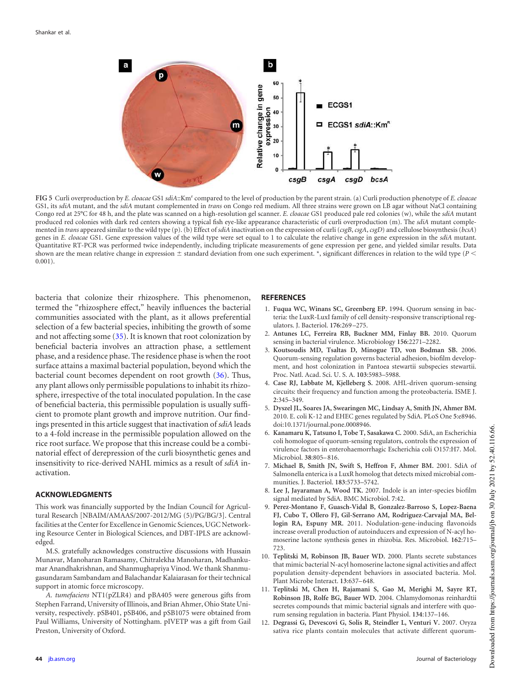

<span id="page-5-11"></span>**FIG 5** Curli overproduction by *E. cloacae* GS1 *sdiA*::Km<sup>r</sup> compared to the level of production by the parent strain. (a) Curli production phenotype of *E. cloacae* GS1, its *sdiA* mutant, and the *sdiA* mutant complemented in *trans* on Congo red medium. All three strains were grown on LB agar without NaCl containing Congo red at 25°C for 48 h, and the plate was scanned on a high-resolution gel scanner. *E. cloacae* GS1 produced pale red colonies (w), while the *sdiA* mutant produced red colonies with dark red centers showing a typical fish eye-like appearance characteristic of curli overproduction (m). The *sdiA* mutant complemented in *trans* appeared similar to the wild type (p). (b) Effect of *sdiA* inactivation on the expression of curli (*csgB*, *csgA*, *csgD*) and cellulose biosynthesis (*bcsA*) genes in *E. cloacae* GS1. Gene expression values of the wild type were set equal to 1 to calculate the relative change in gene expression in the *sdiA* mutant. Quantitative RT-PCR was performed twice independently, including triplicate measurements of gene expression per gene, and yielded similar results. Data shown are the mean relative change in expression  $\pm$  standard deviation from one such experiment. \*, significant differences in relation to the wild type ( $P$  <  $0.001$ ).

bacteria that colonize their rhizosphere. This phenomenon, termed the "rhizosphere effect," heavily influences the bacterial communities associated with the plant, as it allows preferential selection of a few bacterial species, inhibiting the growth of some and not affecting some [\(35\)](#page-6-22). It is known that root colonization by beneficial bacteria involves an attraction phase, a settlement phase, and a residence phase. The residence phase is when the root surface attains a maximal bacterial population, beyond which the bacterial count becomes dependent on root growth [\(36\)](#page-6-23). Thus, any plant allows only permissible populations to inhabit its rhizosphere, irrespective of the total inoculated population. In the case of beneficial bacteria, this permissible population is usually sufficient to promote plant growth and improve nutrition. Our findings presented in this article suggest that inactivation of *sdiA* leads to a 4-fold increase in the permissible population allowed on the rice root surface. We propose that this increase could be a combinatorial effect of derepression of the curli biosynthetic genes and insensitivity to rice-derived NAHL mimics as a result of *sdiA* inactivation.

### **ACKNOWLEDGMENTS**

This work was financially supported by the Indian Council for Agricultural Research [NBAIM/AMAAS/2007-2012/MG (5)/PG/BG/3]. Central facilities at the Center for Excellence in Genomic Sciences, UGC Networking Resource Center in Biological Sciences, and DBT-IPLS are acknowledged.

M.S. gratefully acknowledges constructive discussions with Hussain Munavar, Manoharan Ramasamy, Chitralekha Manoharan, Madhankumar Anandhakrishnan, and Shanmughapriya Vinod. We thank Shanmugasundaram Sambandam and Balachandar Kalaiarasan for their technical support in atomic force microscopy.

*A. tumefaciens* NT1(pZLR4) and pBA405 were generous gifts from Stephen Farrand, University of Illinois, and Brian Ahmer, Ohio State University, respectively. pSB401, pSB406, and pSB1075 were obtained from Paul Williams, University of Nottingham. pIVETP was a gift from Gail Preston, University of Oxford.

#### <span id="page-5-0"></span>**REFERENCES**

- 1. **Fuqua WC, Winans SC, Greenberg EP.** 1994. Quorum sensing in bacteria: the LuxR-LuxI family of cell density-responsive transcriptional regulators. J. Bacteriol. **176**:269 –275.
- <span id="page-5-2"></span><span id="page-5-1"></span>2. **Antunes LC, Ferreira RB, Buckner MM, Finlay BB.** 2010. Quorum sensing in bacterial virulence. Microbiology **156**:2271–2282.
- 3. **Koutsoudis MD, Tsaltas D, Minogue TD, von Bodman SB.** 2006. Quorum-sensing regulation governs bacterial adhesion, biofilm development, and host colonization in Pantoea stewartii subspecies stewartii. Proc. Natl. Acad. Sci. U. S. A. **103**:5983–5988.
- <span id="page-5-3"></span>4. **Case RJ, Labbate M, Kjelleberg S.** 2008. AHL-driven quorum-sensing circuits: their frequency and function among the proteobacteria. ISME J. **2**:345–349.
- <span id="page-5-4"></span>5. **Dyszel JL, Soares JA, Swearingen MC, Lindsay A, Smith JN, Ahmer BM.** 2010. E. coli K-12 and EHEC genes regulated by SdiA. PLoS One **5**:e8946. doi:10.1371/journal.pone.0008946.
- 6. **Kanamaru K, Tatsuno I, Tobe T, Sasakawa C.** 2000. SdiA, an Escherichia coli homologue of quorum-sensing regulators, controls the expression of virulence factors in enterohaemorrhagic Escherichia coli O157:H7. Mol. Microbiol. **38**:805– 816.
- <span id="page-5-6"></span><span id="page-5-5"></span>7. **Michael B, Smith JN, Swift S, Heffron F, Ahmer BM.** 2001. SdiA of Salmonella enterica is a LuxR homolog that detects mixed microbial communities. J. Bacteriol. **183**:5733–5742.
- <span id="page-5-7"></span>8. **Lee J, Jayaraman A, Wood TK.** 2007. Indole is an inter-species biofilm signal mediated by SdiA. BMC Microbiol. **7**:42.
- 9. **Perez-Montano F, Guasch-Vidal B, Gonzalez-Barroso S, Lopez-Baena FJ, Cubo T, Ollero FJ, Gil-Serrano AM, Rodriguez-Carvajal MA, Bellogin RA, Espuny MR.** 2011. Nodulation-gene-inducing flavonoids increase overall production of autoinducers and expression of N-acyl homoserine lactone synthesis genes in rhizobia. Res. Microbiol. **162**:715– 723.
- <span id="page-5-8"></span>10. **Teplitski M, Robinson JB, Bauer WD.** 2000. Plants secrete substances that mimic bacterial N-acyl homoserine lactone signal activities and affect population density-dependent behaviors in associated bacteria. Mol. Plant Microbe Interact. **13**:637– 648.
- <span id="page-5-9"></span>11. **Teplitski M, Chen H, Rajamani S, Gao M, Merighi M, Sayre RT, Robinson JB, Rolfe BG, Bauer WD.** 2004. Chlamydomonas reinhardtii secretes compounds that mimic bacterial signals and interfere with quorum sensing regulation in bacteria. Plant Physiol. **134**:137–146.
- <span id="page-5-10"></span>12. **Degrassi G, Devescovi G, Solis R, Steindler L, Venturi V.** 2007. Oryza sativa rice plants contain molecules that activate different quorum-